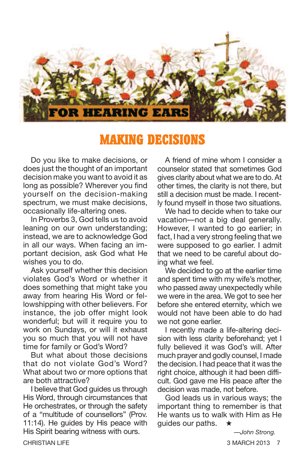

# **MAKING DECISIONS**

Do you like to make decisions, or does just the thought of an important decision make you want to avoid it as long as possible? Wherever you find yourself on the decision-making spectrum, we must make decisions, occasionally life-altering ones.

In Proverbs 3, God tells us to avoid leaning on our own understanding; instead, we are to acknowledge God in all our ways. When facing an important decision, ask God what He wishes you to do.

Ask yourself whether this decision violates God's Word or whether it does something that might take you away from hearing His Word or fellowshipping with other believers. For instance, the job offer might look wonderful: but will it require you to work on Sundays, or will it exhaust you so much that you will not have time for family or God's Word?

But what about those decisions that do not violate God's Word? What about two or more options that are both attractive?

I believe that God guides us through His Word, through circumstances that He orchestrates, or through the safety of a "multitude of counsellors" (Prov. 11:14). He guides by His peace with His Spirit bearing witness with ours.

A friend of mine whom I consider a counselor stated that sometimes God gives clarity about what we are to do. At other times, the clarity is not there, but still a decision must be made. I recently found myself in those two situations.

We had to decide when to take our vacation—not a big deal generally. However, I wanted to go earlier; in fact, I had a very strong feeling that we were supposed to go earlier. I admit that we need to be careful about doing what we feel.

We decided to go at the earlier time and spent time with my wife's mother, who passed away unexpectedly while we were in the area. We got to see her before she entered eternity, which we would not have been able to do had we not gone earlier.

I recently made a life-altering decision with less clarity beforehand; yet I fully believed it was God's will. After much prayer and godly counsel, I made the decision. I had peace that it was the right choice, although it had been difficult. God gave me His peace after the decision was made, not before.

God leads us in various ways; the important thing to remember is that He wants us to walk with Him as He guides our paths. **★**

*—John Strong.*

CHRISTIAN LIFE 3 MARCH 2013 7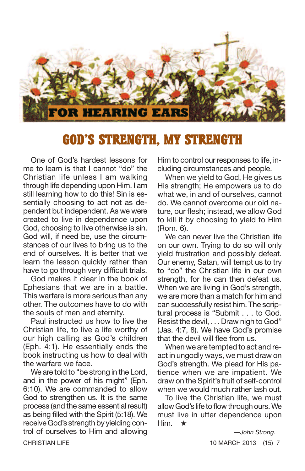

# **GOD'S STRENGTH, MY STRENGTH**

One of God's hardest lessons for me to learn is that I cannot "do" the Christian life unless I am walking through life depending upon Him. I am still learning how to do this! Sin is essentially choosing to act not as dependent but independent. As we were created to live in dependence upon God, choosing to live otherwise is sin. God will, if need be, use the circumstances of our lives to bring us to the end of ourselves. It is better that we learn the lesson quickly rather than have to go through very difficult trials.

God makes it clear in the book of Ephesians that we are in a battle. This warfare is more serious than any other. The outcomes have to do with the souls of men and eternity.

Paul instructed us how to live the Christian life, to live a life worthy of our high calling as God's children (Eph. 4:1). He essentially ends the book instructing us how to deal with the warfare we face.

We are told to "be strong in the Lord, and in the power of his might" (Eph. 6:10). We are commanded to allow God to strengthen us. It is the same process (and the same essential result) as being filled with the Spirit (5:18). We receive God's strength by yielding control of ourselves to Him and allowing Him to control our responses to life, including circumstances and people.

When we yield to God, He gives us His strength; He empowers us to do what we, in and of ourselves, cannot do. We cannot overcome our old nature, our flesh; instead, we allow God to kill it by choosing to yield to Him (Rom. 6).

We can never live the Christian life on our own. Trying to do so will only yield frustration and possibly defeat. Our enemy, Satan, will tempt us to try to "do" the Christian life in our own strength, for he can then defeat us. When we are living in God's strength, we are more than a match for him and can successfully resist him. The scriptural process is "Submit . . . to God. Resist the devil, . . . Draw nigh to God" (Jas. 4:7, 8). We have God's promise that the devil will flee from us.

When we are tempted to act and react in ungodly ways, we must draw on God's strength. We plead for His patience when we are impatient. We draw on the Spirit's fruit of self-control when we would much rather lash out.

To live the Christian life, we must allow God's life to flow through ours. We must live in utter dependence upon Him. **★**

*—John Strong.* CHRISTIAN LIFE 10 MARCH 2013 (15) 7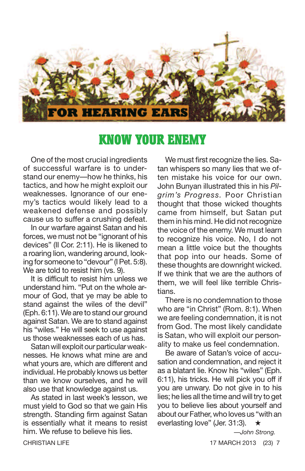

## **KNOW YOUR ENEMY**

One of the most crucial ingredients of successful warfare is to understand our enemy—how he thinks, his tactics, and how he might exploit our weaknesses. Ignorance of our enemy's tactics would likely lead to a weakened defense and possibly cause us to suffer a crushing defeat.

In our warfare against Satan and his forces, we must not be "ignorant of his devices" (II Cor. 2:11). He is likened to a roaring lion, wandering around, looking for someone to "devour" (I Pet. 5:8). We are told to resist him (vs. 9).

It is difficult to resist him unless we understand him. "Put on the whole armour of God, that ye may be able to stand against the wiles of the devil" (Eph. 6:11). We are to stand our ground against Satan. We are to stand against his "wiles." He will seek to use against us those weaknesses each of us has.

Satan will exploit our particular weaknesses. He knows what mine are and what yours are, which are different and individual. He probably knows us better than we know ourselves, and he will also use that knowledge against us.

As stated in last week's lesson, we must yield to God so that we gain His strength. Standing firm against Satan is essentially what it means to resist him. We refuse to believe his lies.

We must first recognize the lies. Satan whispers so many lies that we often mistake his voice for our own. John Bunyan illustrated this in his *Pilgrim's Progress.* Poor Christian thought that those wicked thoughts came from himself, but Satan put them in his mind. He did not recognize the voice of the enemy. We must learn to recognize his voice. No, I do not mean a little voice but the thoughts that pop into our heads. Some of these thoughts are downright wicked. If we think that we are the authors of them, we will feel like terrible Christians.

There is no condemnation to those who are "in Christ" (Rom. 8:1). When we are feeling condemnation, it is not from God. The most likely candidate is Satan, who will exploit our personality to make us feel condemnation.

Be aware of Satan's voice of accusation and condemnation, and reject it as a blatant lie. Know his "wiles" (Eph. 6:11), his tricks. He will pick you off if you are unwary. Do not give in to his lies; he lies all the time and will try to get you to believe lies about yourself and about our Father, who loves us "with an everlasting love" (Jer. 31:3). **★**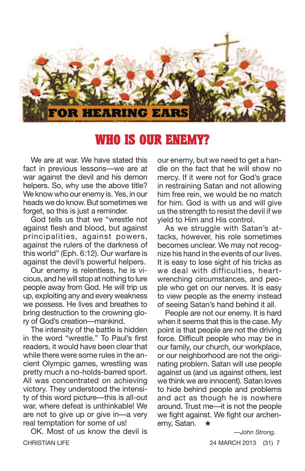

# **WHO IS OUR ENEMY?**

We are at war. We have stated this fact in previous lessons—we are at war against the devil and his demon helpers. So, why use the above title? We know who our enemy is. Yes, in our heads we do know. But sometimes we forget, so this is just a reminder.

God tells us that we "wrestle not against flesh and blood, but against principalities, against powers, against the rulers of the darkness of this world" (Eph. 6:12). Our warfare is against the devil's powerful helpers.

Our enemy is relentless, he is vicious, and he will stop at nothing to lure people away from God. He will trip us up, exploiting any and every weakness we possess. He lives and breathes to bring destruction to the crowning glory of God's creation—mankind.

The intensity of the battle is hidden in the word "wrestle." To Paul's first readers, it would have been clear that while there were some rules in the ancient Olympic games, wrestling was pretty much a no-holds-barred sport. All was concentrated on achieving victory. They understood the intensity of this word picture—this is all-out war, where defeat is unthinkable! We are not to give up or give in—a very real temptation for some of us!

OK. Most of us know the devil is CHRISTIAN LIFE 24 MARCH 2013 (31) 7

our enemy, but we need to get a handle on the fact that he will show no mercy. If it were not for God's grace in restraining Satan and not allowing him free rein, we would be no match for him. God is with us and will give us the strength to resist the devil if we yield to Him and His control.

As we struggle with Satan's attacks, however, his role sometimes becomes unclear. We may not recognize his hand in the events of our lives. It is easy to lose sight of his tricks as we deal with difficulties, heartwrenching circumstances, and people who get on our nerves. It is easy to view people as the enemy instead of seeing Satan's hand behind it all.

People are not our enemy. It is hard when it seems that this is the case. My point is that people are not the driving force. Difficult people who may be in our family, our church, our workplace, or our neighborhood are not the originating problem. Satan will use people against us (and us against others, lest we think we are innocent). Satan loves to hide behind people and problems and act as though he is nowhere around. Trust me—it is not the people we fight against. We fight our archenemy, Satan. **★**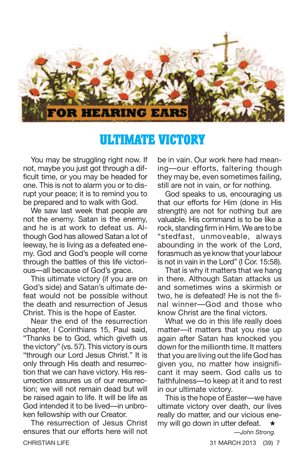

#### **ULTIMATE VICTORY**

You may be struggling right now. If not, maybe you just got through a difficult time, or you may be headed for one. This is not to alarm you or to disrupt your peace; it is to remind you to be prepared and to walk with God.

We saw last week that people are not the enemy. Satan is the enemy, and he is at work to defeat us. Although God has allowed Satan a lot of leeway, he is living as a defeated enemy. God and God's people will come through the battles of this life victorious—all because of God's grace.

This ultimate victory (if you are on God's side) and Satan's ultimate defeat would not be possible without the death and resurrection of Jesus Christ. This is the hope of Easter.

Near the end of the resurrection chapter, I Corinthians 15, Paul said, "Thanks be to God, which giveth us the victory" (vs. 57). This victory is ours "through our Lord Jesus Christ." It is only through His death and resurrection that we can have victory. His resurrection assures us of our resurrection; we will not remain dead but will be raised again to life. It will be life as God intended it to be lived—in unbroken fellowship with our Creator.

The resurrection of Jesus Christ ensures that our efforts here will not CHRISTIAN LIFE 31 MARCH 2013 (39) 7

be in vain. Our work here had meaning—our efforts, faltering though they may be, even sometimes failing, still are not in vain, or for nothing.

God speaks to us, encouraging us that our efforts for Him (done in His strength) are not for nothing but are valuable. His command is to be like a rock, standing firm in Him. We are to be "stedfast, unmoveable, always abounding in the work of the Lord, forasmuch as ye know that your labour is not in vain in the Lord" (I Cor. 15:58).

That is why it matters that we hang in there. Although Satan attacks us and sometimes wins a skirmish or two, he is defeated! He is not the final winner—God and those who know Christ are the final victors.

What we do in this life really does matter—it matters that you rise up again after Satan has knocked you down for the millionth time. It matters that you are living out the life God has given you, no matter how insignificant it may seem. God calls us to faithfulness—to keep at it and to rest in our ultimate victory.

This is the hope of Easter—we have ultimate victory over death, our lives really do matter, and our vicious enemy will go down in utter defeat. **★**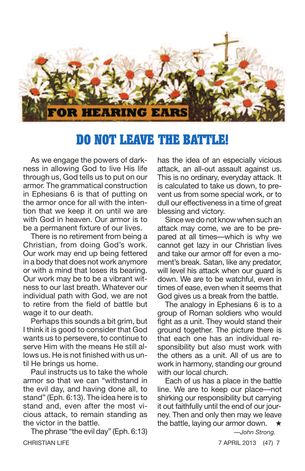

# **DO NOT LEAVE THE BATTLE!**

As we engage the powers of darkness in allowing God to live His life through us, God tells us to put on our armor. The grammatical construction in Ephesians 6 is that of putting on the armor once for all with the intention that we keep it on until we are with God in heaven. Our armor is to be a permanent fixture of our lives.

There is no retirement from being a Christian, from doing God's work. Our work may end up being fettered in a body that does not work anymore or with a mind that loses its bearing. Our work may be to be a vibrant witness to our last breath. Whatever our individual path with God, we are not to retire from the field of battle but wage it to our death.

Perhaps this sounds a bit grim, but I think it is good to consider that God wants us to persevere, to continue to serve Him with the means He still allows us. He is not finished with us until He brings us home.

Paul instructs us to take the whole armor so that we can "withstand in the evil day, and having done all, to stand" (Eph. 6:13). The idea here is to stand and, even after the most vicious attack, to remain standing as the victor in the battle.

The phrase "the evil day" (Eph. 6:13) CHRISTIAN LIFE 7 APRIL 2013 (47) 7

has the idea of an especially vicious attack, an all-out assault against us. This is no ordinary, everyday attack. It is calculated to take us down, to prevent us from some special work, or to dull our effectiveness in a time of great blessing and victory.

Since we do not know when such an attack may come, we are to be prepared at all times—which is why we cannot get lazy in our Christian lives and take our armor off for even a moment's break. Satan, like any predator, will level his attack when our quard is down. We are to be watchful, even in times of ease, even when it seems that God gives us a break from the battle.

The analogy in Ephesians 6 is to a group of Roman soldiers who would fight as a unit. They would stand their ground together. The picture there is that each one has an individual responsibility but also must work with the others as a unit. All of us are to work in harmony, standing our ground with our local church.

Each of us has a place in the battle line. We are to keep our place—not shirking our responsibility but carrying it out faithfully until the end of our journey. Then and only then may we leave the battle, laying our armor down. **★**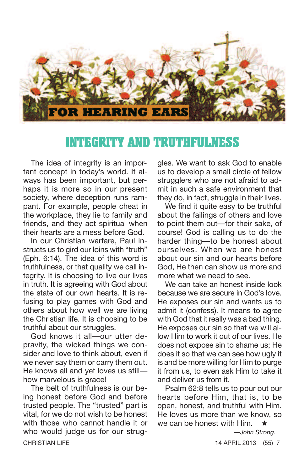

## **INTEGRITY AND TRUTHFULNESS**

The idea of integrity is an important concept in today's world. It always has been important, but perhaps it is more so in our present society, where deception runs rampant. For example, people cheat in the workplace, they lie to family and friends, and they act spiritual when their hearts are a mess before God.

In our Christian warfare, Paul instructs us to gird our loins with "truth" (Eph. 6:14). The idea of this word is truthfulness, or that quality we call integrity. It is choosing to live our lives in truth. It is agreeing with God about the state of our own hearts. It is refusing to play games with God and others about how well we are living the Christian life. It is choosing to be truthful about our struggles.

God knows it all—our utter depravity, the wicked things we consider and love to think about, even if we never say them or carry them out. He knows all and yet loves us still how marvelous is grace!

The belt of truthfulness is our being honest before God and before trusted people. The "trusted" part is vital, for we do not wish to be honest with those who cannot handle it or who would judge us for our strug-CHRISTIAN LIFE 14 APRIL 2013 (55) 7

gles. We want to ask God to enable us to develop a small circle of fellow strugglers who are not afraid to admit in such a safe environment that they do, in fact, struggle in their lives.

We find it quite easy to be truthful about the failings of others and love to point them out—for their sake, of course! God is calling us to do the harder thing—to be honest about ourselves. When we are honest about our sin and our hearts before God, He then can show us more and more what we need to see.

We can take an honest inside look because we are secure in God's love. He exposes our sin and wants us to admit it (confess). It means to agree with God that it really was a bad thing. He exposes our sin so that we will allow Him to work it out of our lives. He does not expose sin to shame us; He does it so that we can see how ugly it is and be more willing for Him to purge it from us, to even ask Him to take it and deliver us from it.

Psalm 62:8 tells us to pour out our hearts before Him, that is, to be open, honest, and truthful with Him. He loves us more than we know, so we can be honest with Him. **★**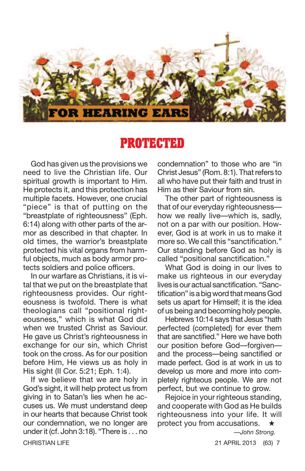

## **PROTECTED**

God has given us the provisions we need to live the Christian life. Our spiritual growth is important to Him. He protects it, and this protection has multiple facets. However, one crucial "piece" is that of putting on the "breastplate of righteousness" (Eph. 6:14) along with other parts of the armor as described in that chapter. In old times, the warrior's breastplate protected his vital organs from harmful objects, much as body armor protects soldiers and police officers.

In our warfare as Christians, it is vital that we put on the breastplate that righteousness provides. Our righteousness is twofold. There is what theologians call "positional righteousness," which is what God did when we trusted Christ as Saviour. He gave us Christ's righteousness in exchange for our sin, which Christ took on the cross. As for our position before Him, He views us as holy in His sight (II Cor. 5:21; Eph. 1:4).

If we believe that we are holy in God's sight, it will help protect us from giving in to Satan's lies when he accuses us. We must understand deep in our hearts that because Christ took our condemnation, we no longer are under it (cf. John 3:18). "There is . . . no CHRISTIAN LIFE 21 APRIL 2013 (63) 7

condemnation" to those who are "in Christ Jesus" (Rom. 8:1). That refers to all who have put their faith and trust in Him as their Saviour from sin.

The other part of righteousness is that of our everyday righteousness how we really live—which is, sadly, not on a par with our position. However, God is at work in us to make it more so. We call this "sanctification." Our standing before God as holy is called "positional sanctification."

What God is doing in our lives to make us righteous in our everyday lives is our actual sanctification. "Sanctification" is a big word that means God sets us apart for Himself; it is the idea of us being and becoming holy people.

Hebrews 10:14 says that Jesus "hath perfected (completed) for ever them that are sanctified." Here we have both our position before God—forgiven and the process—being sanctified or made perfect. God is at work in us to develop us more and more into completely righteous people. We are not perfect, but we continue to grow.

Rejoice in your righteous standing, and cooperate with God as He builds righteousness into your life. It will protect you from accusations. **★**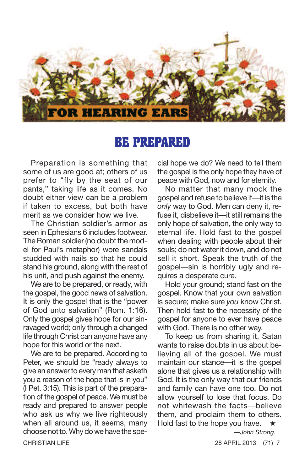

#### **BE PREPARED**

Preparation is something that some of us are good at; others of us prefer to "fly by the seat of our pants," taking life as it comes. No doubt either view can be a problem if taken to excess, but both have merit as we consider how we live.

The Christian soldier's armor as seen in Ephesians 6 includes footwear. The Roman soldier (no doubt the model for Paul's metaphor) wore sandals studded with nails so that he could stand his ground, along with the rest of his unit, and push against the enemy.

We are to be prepared, or ready, with the gospel, the good news of salvation. It is only the gospel that is the "power of God unto salvation" (Rom. 1:16). Only the gospel gives hope for our sinravaged world; only through a changed life through Christ can anyone have any hope for this world or the next.

We are to be prepared. According to Peter, we should be "ready always to give an answer to every man that asketh you a reason of the hope that is in you" (I Pet. 3:15). This is part of the preparation of the gospel of peace. We must be ready and prepared to answer people who ask us why we live righteously when all around us, it seems, many choose not to. Why do we have the special hope we do? We need to tell them the gospel is the only hope they have of peace with God, now and for eternity.

No matter that many mock the gospel and refuse to believe it—it is the *only* way to God. Men can deny it, refuse it, disbelieve it—it still remains the only hope of salvation, the only way to eternal life. Hold fast to the gospel when dealing with people about their souls; do not water it down, and do not sell it short. Speak the truth of the gospel—sin is horribly ugly and requires a desperate cure.

Hold your ground; stand fast on the gospel. Know that your own salvation is secure; make sure *you* know Christ. Then hold fast to the necessity of the gospel for anyone to ever have peace with God. There is no other way.

To keep us from sharing it, Satan wants to raise doubts in us about believing all of the gospel. We must maintain our stance—it is the gospel alone that gives us a relationship with God. It is the only way that our friends and family can have one too. Do not allow yourself to lose that focus. Do not whitewash the facts—believe them, and proclaim them to others. Hold fast to the hope you have. **★**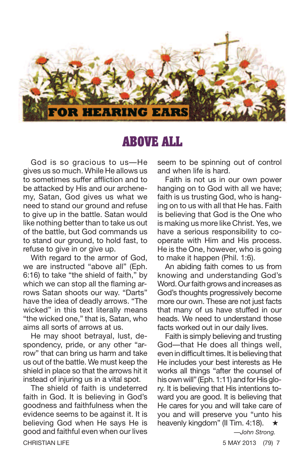

#### **ABOVE ALL**

God is so gracious to us—He gives us so much. While He allows us to sometimes suffer affliction and to be attacked by His and our archenemy, Satan, God gives us what we need to stand our ground and refuse to give up in the battle. Satan would like nothing better than to take us out of the battle, but God commands us to stand our ground, to hold fast, to refuse to give in or give up.

With regard to the armor of God, we are instructed "above all" (Eph. 6:16) to take "the shield of faith," by which we can stop all the flaming arrows Satan shoots our way. "Darts" have the idea of deadly arrows. "The wicked" in this text literally means "the wicked one," that is, Satan, who aims all sorts of arrows at us.

He may shoot betrayal, lust, despondency, pride, or any other "arrow" that can bring us harm and take us out of the battle. We must keep the shield in place so that the arrows hit it instead of injuring us in a vital spot.

The shield of faith is undeterred faith in God. It is believing in God's goodness and faithfulness when the evidence seems to be against it. It is believing God when He says He is good and faithful even when our lives CHRISTIAN LIFE 5 MAY 2013 (79) 7

seem to be spinning out of control and when life is hard.

Faith is not us in our own power hanging on to God with all we have; faith is us trusting God, who is hanging on to us with all that He has. Faith is believing that God is the One who is making us more like Christ. Yes, we have a serious responsibility to cooperate with Him and His process. He is the One, however, who is going to make it happen (Phil. 1:6).

An abiding faith comes to us from knowing and understanding God's Word. Our faith grows and increases as God's thoughts progressively become more our own. These are not just facts that many of us have stuffed in our heads. We need to understand those facts worked out in our daily lives.

Faith is simply believing and trusting God—that He does all things well, even in difficult times. It is believing that He includes your best interests as He works all things "after the counsel of his own will" (Eph. 1:11) and for His glory. It is believing that His intentions toward you are good. It is believing that He cares for you and will take care of you and will preserve you "unto his heavenly kingdom" (II Tim. 4:18). **★**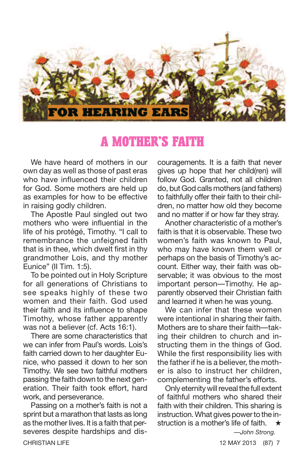

#### **A MOTHER'S FAITH**

We have heard of mothers in our own day as well as those of past eras who have influenced their children for God. Some mothers are held up as examples for how to be effective in raising godly children.

The Apostle Paul singled out two mothers who were influential in the life of his protégé, Timothy. "I call to remembrance the unfeigned faith that is in thee, which dwelt first in thy grandmother Lois, and thy mother Eunice" (II Tim. 1:5).

To be pointed out in Holy Scripture for all generations of Christians to see speaks highly of these two women and their faith. God used their faith and its influence to shape Timothy, whose father apparently was not a believer (cf. Acts 16:1).

There are some characteristics that we can infer from Paul's words. Lois's faith carried down to her daughter Eunice, who passed it down to her son Timothy. We see two faithful mothers passing the faith down to the next generation. Their faith took effort, hard work, and perseverance.

Passing on a mother's faith is not a sprint but a marathon that lasts as long as the mother lives. It is a faith that perseveres despite hardships and dis-**CHRISTIAN LIFE 12 MAY 2013 (87) 7 CHRISTIAN LIFE** 

couragements. It is a faith that never gives up hope that her child(ren) will follow God. Granted, not all children do, but God calls mothers (and fathers) to faithfully offer their faith to their children, no matter how old they become and no matter if or how far they stray.

Another characteristic of a mother's faith is that it is observable. These two women's faith was known to Paul who may have known them well or perhaps on the basis of Timothy's account. Either way, their faith was observable; it was obvious to the most important person—Timothy. He apparently observed their Christian faith and learned it when he was young.

We can infer that these women were intentional in sharing their faith. Mothers are to share their faith—taking their children to church and instructing them in the things of God. While the first responsibility lies with the father if he is a believer, the mother is also to instruct her children, complementing the father's efforts.

Only eternity will reveal the full extent of faithful mothers who shared their faith with their children. This sharing is instruction. What gives power to the instruction is a mother's life of faith. **★**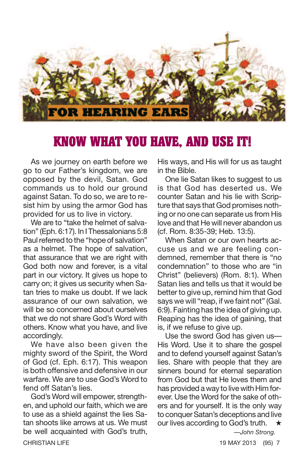

# **KNOW WHAT YOU HAVE, AND USE IT!**

As we journey on earth before we go to our Father's kingdom, we are opposed by the devil, Satan. God commands us to hold our ground against Satan. To do so, we are to resist him by using the armor God has provided for us to live in victory.

We are to "take the helmet of salvation" (Eph. 6:17). In I Thessalonians 5:8 Paul referred to the "hope of salvation" as a helmet. The hope of salvation, that assurance that we are right with God both now and forever, is a vital part in our victory. It gives us hope to carry on; it gives us security when Satan tries to make us doubt. If we lack assurance of our own salvation, we will be so concerned about ourselves that we do not share God's Word with others. Know what you have, and live accordingly.

We have also been given the mighty sword of the Spirit, the Word of God (cf. Eph. 6:17). This weapon is both offensive and defensive in our warfare. We are to use God's Word to fend off Satan's lies.

God's Word will empower, strengthen, and uphold our faith, which we are to use as a shield against the lies Satan shoots like arrows at us. We must be well acquainted with God's truth, CHRISTIAN LIFE 19 MAY 2013 (95) 7

His ways, and His will for us as taught in the Bible.

One lie Satan likes to suggest to us is that God has deserted us. We counter Satan and his lie with Scripture that says that God promises nothing or no one can separate us from His love and that He will never abandon us (cf. Rom. 8:35-39; Heb. 13:5).

When Satan or our own hearts accuse us and we are feeling condemned, remember that there is "no condemnation" to those who are "in Christ" (believers) (Rom. 8:1). When Satan lies and tells us that it would be better to give up, remind him that God says we will "reap, if we faint not" (Gal. 6:9). Fainting has the idea of giving up. Reaping has the idea of gaining, that is, if we refuse to give up.

Use the sword God has given us— His Word. Use it to share the gospel and to defend yourself against Satan's lies. Share with people that they are sinners bound for eternal separation from God but that He loves them and has provided a way to live with Him forever. Use the Word for the sake of others and for yourself. It is the only way to conquer Satan's deceptions and live our lives according to God's truth. **★**